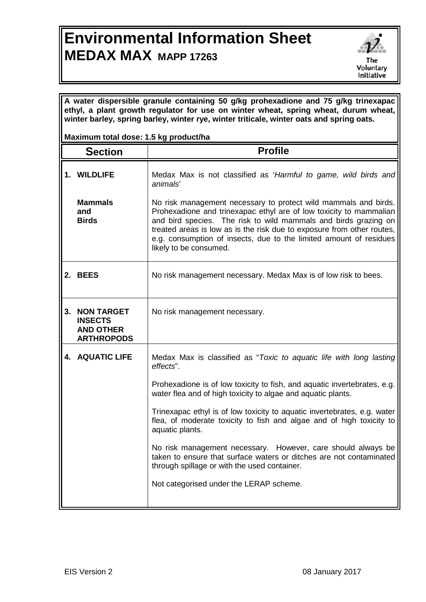## **Environmental Information Sheet MEDAX MAX MAPP 17263**



**A water dispersible granule containing 50 g/kg prohexadione and 75 g/kg trinexapac ethyl, a plant growth regulator for use on winter wheat, spring wheat, durum wheat, winter barley, spring barley, winter rye, winter triticale, winter oats and spring oats.**

## **Maximum total dose: 1.5 kg product/ha**

|    | <b>Section</b>                                                               | <b>Profile</b>                                                                                                                                                                                                                                                                                                                                                                     |
|----|------------------------------------------------------------------------------|------------------------------------------------------------------------------------------------------------------------------------------------------------------------------------------------------------------------------------------------------------------------------------------------------------------------------------------------------------------------------------|
|    | 1. WILDLIFE                                                                  | Medax Max is not classified as 'Harmful to game, wild birds and<br>animals'                                                                                                                                                                                                                                                                                                        |
|    | <b>Mammals</b><br>and<br><b>Birds</b>                                        | No risk management necessary to protect wild mammals and birds.<br>Prohexadione and trinexapac ethyl are of low toxicity to mammalian<br>and bird species. The risk to wild mammals and birds grazing on<br>treated areas is low as is the risk due to exposure from other routes,<br>e.g. consumption of insects, due to the limited amount of residues<br>likely to be consumed. |
|    | 2. BEES                                                                      | No risk management necessary. Medax Max is of low risk to bees.                                                                                                                                                                                                                                                                                                                    |
| 3. | <b>NON TARGET</b><br><b>INSECTS</b><br><b>AND OTHER</b><br><b>ARTHROPODS</b> | No risk management necessary.                                                                                                                                                                                                                                                                                                                                                      |
|    | <b>4. AQUATIC LIFE</b>                                                       | Medax Max is classified as "Toxic to aquatic life with long lasting<br>effects".                                                                                                                                                                                                                                                                                                   |
|    |                                                                              | Prohexadione is of low toxicity to fish, and aquatic invertebrates, e.g.<br>water flea and of high toxicity to algae and aquatic plants.                                                                                                                                                                                                                                           |
|    |                                                                              | Trinexapac ethyl is of low toxicity to aquatic invertebrates, e.g. water<br>flea, of moderate toxicity to fish and algae and of high toxicity to<br>aquatic plants.                                                                                                                                                                                                                |
|    |                                                                              | No risk management necessary. However, care should always be<br>taken to ensure that surface waters or ditches are not contaminated<br>through spillage or with the used container.                                                                                                                                                                                                |
|    |                                                                              | Not categorised under the LERAP scheme.                                                                                                                                                                                                                                                                                                                                            |